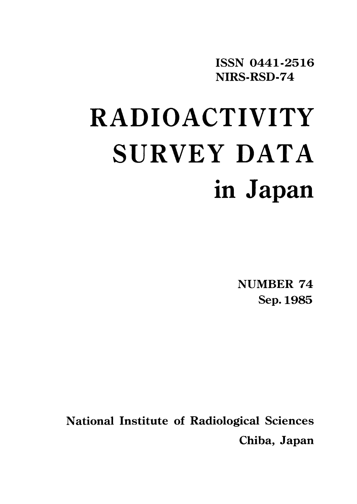ISSN 0441-2516 NIRS-RSD-74

# **RADIOACTIVITY** SURVEY DATA in Japan

**NUMBER 74** Sep. 1985

**National Institute of Radiological Sciences** Chiba, Japan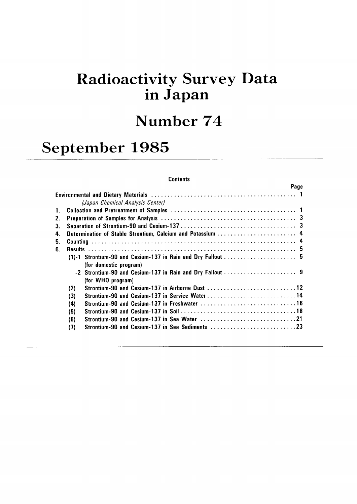## Radioactivity Survey Data inJapan

## Number 74

## September 1985

## **Contents**

|                                  | Page |                                                                                                                                                                                                                                                                       |
|----------------------------------|------|-----------------------------------------------------------------------------------------------------------------------------------------------------------------------------------------------------------------------------------------------------------------------|
|                                  |      |                                                                                                                                                                                                                                                                       |
| (Japan Chemical Analysis Center) |      |                                                                                                                                                                                                                                                                       |
|                                  |      |                                                                                                                                                                                                                                                                       |
|                                  |      |                                                                                                                                                                                                                                                                       |
|                                  |      |                                                                                                                                                                                                                                                                       |
|                                  |      |                                                                                                                                                                                                                                                                       |
|                                  |      |                                                                                                                                                                                                                                                                       |
|                                  |      |                                                                                                                                                                                                                                                                       |
|                                  |      |                                                                                                                                                                                                                                                                       |
| (for domestic program)           |      |                                                                                                                                                                                                                                                                       |
|                                  |      |                                                                                                                                                                                                                                                                       |
| (for WHO program)                |      |                                                                                                                                                                                                                                                                       |
| (2)                              |      |                                                                                                                                                                                                                                                                       |
| (3)                              |      |                                                                                                                                                                                                                                                                       |
| (4)                              |      |                                                                                                                                                                                                                                                                       |
| (5)                              |      |                                                                                                                                                                                                                                                                       |
| (6)                              |      |                                                                                                                                                                                                                                                                       |
| (7)                              |      |                                                                                                                                                                                                                                                                       |
|                                  |      | 4. Determination of Stable Strontium, Calcium and Potassium  4<br>Strontium-90 and Cesium-137 in Airborne Dust 12<br>Strontium-90 and Cesium-137 in Service Water14<br>Strontium-90 and Cesium-137 in Sea Water 21<br>Strontium-90 and Cesium-137 in Sea Sediments 23 |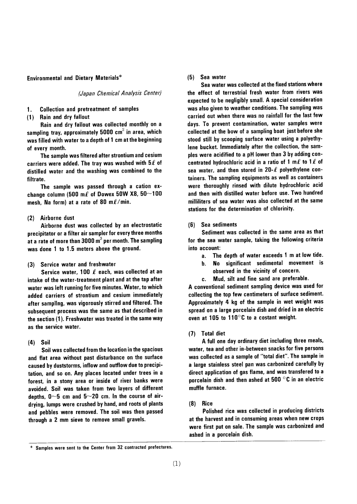**Environmental and Dietary Materials\*** 

(Japan Chemical Analysis Center)

**Collection and pretreatment of samples**  $\mathbf{1}$ .

(1) Rain and dry fallout

Rain and dry fallout was collected monthly on a sampling tray, approximately 5000 cm<sup>2</sup> in area, which was filled with water to a depth of 1 cm at the beginning of every month.

The sample was filtered after strontium and cesium carriers were added. The tray was washed with  $5\ell$  of distilled water and the washing was combined to the filtrate.

The sample was passed through a cation exchange column (500 m $\ell$  of Dowex 50W X8, 50~100 mesh, Na form) at a rate of 80 m $\ell$ /min.

### (2) Airborne dust

Airborne dust was collected by an electrostatic precipitator or a filter air sampler for every three months at a rate of more than 3000 m<sup>3</sup> per month. The sampling was done 1 to 1.5 meters above the ground.

(3) Service water and freshwater

Service water, 100  $\ell$  each, was collected at an intake of the water-treatment plant and at the tap after water was left running for five minutes. Water, to which added carriers of strontium and cesium immediately after sampling, was vigorously stirred and filtered. The subsequent process was the same as that described in the section (1). Freshwater was treated in the same way as the service water.

## $(4)$  Soil

Soil was collected from the location in the spacious and flat area without past disturbance on the surface caused by duststorms, inflow and outflow due to precipitation, and so on. Any places located under trees in a forest, in a stony area or inside of river banks were avoided. Soil was taken from two layers of different depths,  $0 \sim 5$  cm and  $5 \sim 20$  cm. In the course of airdrying, lumps were crushed by hand, and roots of plants and pebbles were removed. The soil was then passed through a 2 mm sieve to remove small gravels.

## (5) Sea water

Sea water was collected at the fixed stations where the effect of terrestrial fresh water from rivers was expected to be negligibly small. A special consideration was also given to weather conditions. The sampling was carried out when there was no rainfall for the last few days. To prevent contamination, water samples were collected at the bow of a sampling boat just before she stood still by scooping surface water using a polyethylene bucket. Immediately after the collection, the samples were acidified to a pH lower than 3 by adding concentrated hydrochloric acid in a ratio of 1 m $\ell$  to 1 $\ell$  of sea water, and then stored in  $20-\ell$  polyethylene containers. The sampling equipments as well as containers were thoroughly rinsed with dilute hydrochloric acid and then with distilled water before use. Two hundred milliliters of sea water was also collected at the same stations for the determination of chlorinity.

(6) Sea sediments

Sediment was collected in the same area as that for the sea water sample, taking the following criteria into account:

- The depth of water exceeds 1 m at low tide.  $a<sub>r</sub>$
- No significant sedimental movement is  $\mathbf{h}$ . observed in the vicinity of concern.
- Mud, silt and fine sand are preferable.  $\mathbf{c}$ .

A conventional sediment sampling device was used for collecting the top few centimeters of surface sediment. Approximately 4 kg of the sample in wet weight was spread on a large porcelain dish and dried in an electric oven at 105 to 110 $\degree$ C to a costant weight.

## (7) Total diet

A full one day ordinary diet including three meals, water, tea and other in-between snacks for five persons was collected as a sample of "total diet". The sample in a large stainless steel pan was carbonized carefully by direct application of gas flame, and was transfered to a porcelain dish and then ashed at 500 $\degree$ C in an electric muffle furnace.

#### $(8)$ Rice

Polished rice was collected in producing districts at the harvest and in consuming areas when new crops were first put on sale. The sample was carbonized and ashed in a porcelain dish.

Samples were sent to the Center from 32 contracted prefectures.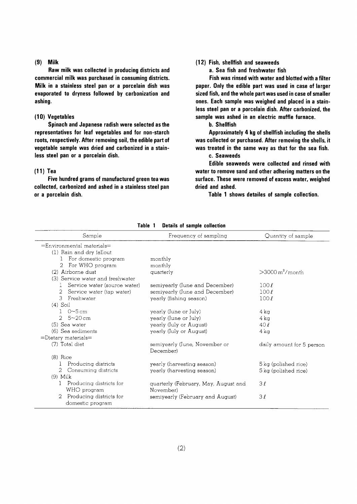## $(9)$  Milk

Raw milk was collected in producing districts and commercial milk was purchased in consuming districts. Milk in a stainless steel pan or a porcelain dish was evaporated to dryness followed by carbonization and ashing.

## (10) Vegetables

Spinach and Japanese radish were selected as the representatives for leaf vegetables and for non-starch roots, respectively. After removing soil, the edible part of vegetable sample was dried and carbonized in a stainless steel pan or a porcelain dish.

## $(11)$  Tea

Five hundred grams of manufactured green tea was collected, carbonized and ashed in a stainless steel pan or a porcelain dish.

## (12) Fish, shellfish and seaweeds

a. Sea fish and freshwater fish

Fish was rinsed with water and blotted with a filter paper. Only the edible part was used in case of larger sized fish, and the whole part was used in case of smaller ones. Each sample was weighed and placed in a stainless steel pan or a porcelain dish. After carbonized, the sample was ashed in an electric muffle furnace.

**b.** Shellfish

Approximately 4 kg of shellfish including the shells was collected or purchased. After removing the shells, it was treated in the same way as that for the sea fish.

c. Seaweeds

Edible seaweeds were collected and rinsed with water to remove sand and other adhering matters on the surface. These were removed of excess water, weighed dried and ashed.

Table 1 shows detailes of sample collection.

| Sample                                           | Frequency of sampling                             | Quantity of sample             |
|--------------------------------------------------|---------------------------------------------------|--------------------------------|
| $=$ Environmental materials $=$                  |                                                   |                                |
| (1) Rain and dry fallout                         |                                                   |                                |
| For domestic program<br>1.                       | monthly                                           |                                |
| For WHO program<br>2                             | monthly                                           |                                |
| (2) Airborne dust                                | quarterly                                         | $>$ 3000 m <sup>3</sup> /month |
| (3) Service water and freshwater                 |                                                   |                                |
| Service water (source water)                     | semiyearly (June and December)                    | 100l                           |
| 2<br>Service water (tap water)                   | semiyearly (June and December)                    | 100l                           |
| Freshwater<br>3.                                 | yearly (fishing season)                           | 100l                           |
| $(4)$ Soil                                       |                                                   |                                |
| $0\nu$ -5 cm                                     | yearly (June or July)                             | 4 ka                           |
| $2.5 - 20$ cm                                    | yearly (June or July)                             | 4 kg                           |
| (5) Sea water                                    | yearly (July or August)                           | 40l                            |
| (6) Sea sediments                                | yearly (July or August)                           | 4 ka                           |
| $=$ Dietary materials $=$                        |                                                   |                                |
| (7) Total diet                                   | semiyearly (June, November or<br>December)        | daily amount for 5 person      |
| $(8)$ Rice                                       |                                                   |                                |
| Producing districts                              | yearly (harvesting season)                        | 5 kg (polished rice)           |
| Consuming districts<br>2                         | yearly (harvesting season)                        | 5 kg (polished rice)           |
| $(9)$ Milk                                       |                                                   |                                |
| Producing districts for<br>WHO program           | quarterly (February, May, August and<br>November) | 3l                             |
| 2<br>Producing districts for<br>domestic program | semiyearly (February and August)                  | 3l                             |

Table 1 Details of sample collection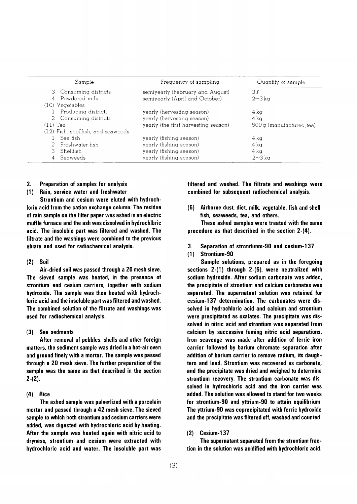|                   | Sample                             | Frequency of sampling                | Quantity of sample      |
|-------------------|------------------------------------|--------------------------------------|-------------------------|
|                   | 3 Consuming districts              | semiyearly (February and August)     | 3l                      |
|                   | 4 Powdered milk                    | semiyearly (April and October)       | $2 - 3$ kg              |
| $(10)$ Vegetables |                                    |                                      |                         |
|                   | 1 Producing districts              | yearly (hervesting season)           | 4 ka                    |
|                   | 2 Consuming districts              | yearly (harvesting season)           | 4 ka                    |
| $(11)$ Tea        |                                    | yearly (the first harvesting season) | 500g (manufactured tea) |
|                   | (12) Fish, shellfish, and seaweeds |                                      |                         |
|                   | Sea fish                           | yearly (fishing season)              | $4 \text{ kg}$          |
|                   | 2 Freshwater fish                  | yearly (fishing season)              | 4 ka                    |
|                   | 3 Shellfish                        | yearly (fishing season)<br>4 ka      |                         |
| 4                 | Seaweeds                           | yearly (fishing season)              | $2\sim3\,\mathrm{kg}$   |

## 2. Preparation of samples for analysis

## (1) Rain, service water and freshwater

Strontium and cesium were eluted with hydrochloric acid from the cation exchange column. The residue of rain sample on the filter paper was ashed in an electric muffle furnace and the ash was dissolved in hydrochlbric acid. The insoluble part was filtered and washed. The filtrate and the washings were combined to the previous eluate and used for radiochemical analysis.

### $(2)$  Soil

Air-dried soil was passed through a 20 mesh sieve. The sieved sample was heated, in the presence of strontium and cesium carriers, together with sodium hydroxide. The sample was then heated with hydrochloric acid and the insoluble part was filtered and washed. The combined solution of the filtrate and washings was used for radiochemical analysis.

#### $(3)$ Sea sedments

After removal of pebbles, shells and other foreign matters, the sediment sample was dried in a hot-air oven and ground finely with a mortar. The sample was passed through a 20 mesh sieve. The further preparation of the sample was the same as that described in the section  $2-(2)$ .

### $(4)$  Rice

The ashed sample was pulverlized with a porcelain mortar and passed through a 42 mesh sieve. The sieved sample to which both strontium and cesium carriers were added, was digested with hydrochloric acid by heating. After the sample was heated again with nitric acid to dryness, strontium and cesium were extracted with hydrochloric acid and water. The insoluble part was filtered and washed. The filtrate and washings were combined for subsequent radiochemical analysis.

(5) Airborne dust, diet, milk, vegetable, fish and shellfish, seaweeds, tea, and others.

These ashed samples were treated with the same procedure as that described in the section  $2-(4)$ .

- 3. Separation of strontiunm-90 and cesium-137
- (1) Strontium-90

Sample solutions, prepared as in the foregoing sections  $2-(1)$  through  $2-(5)$ , were neutralized with sodium hydroxide. After sodium carbonate was added, the precipitate of strontium and calcium carbonates was separated. The supernatant solution was retained for cesium-137 determination. The carbonates were dissolved in hydrochloric acid and calcium and strontium were precipitated as oxalates. The precipitate was dissolved in nitric acid and strontium was separated from calcium by successive fuming nitric acid separations. Iron scavenge was made after addition of ferric iron carrier followed by barium chromate separation after addition of barium carrier to remove radium, its daughters and lead. Strontium was recovered as carbonate, and the precipitate was dried and weighed to determine strontium recovery. The strontium carbonate was dissolved in hydrochloric acid and the iron carrier was added. The solution was allowed to stand for two weeks for strontium-90 and yttrium-90 to attain equilibrium. The yttrium-90 was coprecipitated with ferric hydroxide and the precipitate was filtered off, washed and counted.

## $(2)$  Cesium-137

The supernatant separated from the strontium fraction in the solution was acidified with hydrochloric acid.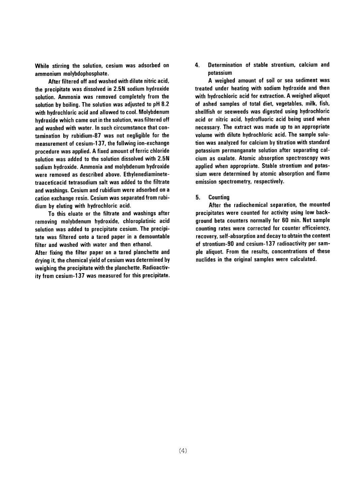While stirring the solution, cesium was adsorbed on ammonium molybdophosphate.

After filtered off and washed with dilute nitric acid, the precipitate was dissolved in 2.5N sodium hydroxide solution. Ammonia was removed completely from the solution by boiling. The solution was adjusted to pH 8.2 with hydrochloric acid and allowed to cool. Molybdenum hydroxide which came out in the solution, was filtered off and washed with water. In such circumstance that contamination by rubidium-87 was not negligible for the measurement of cesium-137, the follwing ion-exchange procedure was applied. A fixed amount of ferric chloride solution was added to the solution dissolved with 2.5N sodium hydroxide. Ammonia and molybdenum hydroxide were removed as described above. Ethylenediaminetetraaceticacid tetrasodium salt was added to the filtrate and washings. Cesium and rubidium were adsorbed on a cation exchange resin. Cesium was separated from rubidium by eluting with hydrochloric acid.

To this eluate or the filtrate and washings after removing molybdenum hydroxide, chloroplatinic acid solution was added to precipitate cesium. The precipitate was filtered onto a tared paper in a demountable filter and washed with water and then ethanol.

After fixing the filter paper on a tared planchette and drying it, the chemical yield of cesium was determined by weighing the precipitate with the planchette. Radioactivity from cesium-137 was measured for this precipitate. 4. Determination of stable strontium, calcium and notassium

A weighed amount of soil or sea sediment was treated under heating with sodium hydroxide and then with hydrochloric acid for extraction. A weighed aliquot of ashed samples of total diet, vegetables, milk, fish, shellfish or seeweeds was digested using hydrochloric acid or nitric acid, hydrofluoric acid being used when necessary. The extract was made up to an appropriate volume with dilute hydrochloric acid. The sample solution was analyzed for calcium by titration with standard potassium permanganate solution after separating calcium as oxalate. Atomic absorption spectroscopy was applied when appropriate. Stable strontium and potassium were determined by atomic absorption and flame emission spectrometry, respectively.

5. **Counting** 

After the radiochemical separation, the mounted precipitates were counted for activity using low background beta counters normally for 60 min. Net sample counting rates were corrected for counter efficeiency, recovery, self-absorption and decay to obtain the content of strontium-90 and cesium-137 radioactivity per sample aliquot. From the results, concentrations of these nuclides in the original samples were calculated.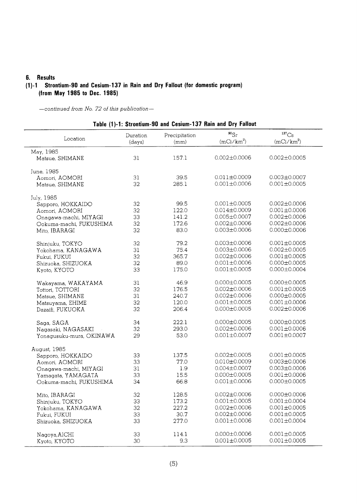## 6. Results

## (1)-1 Strontium-90 and Cesium-137 in Rain and Dry Fallout (for domestic program) (from May 1985 to Dec. 1985)

-continued from No. 72 of this publication-

| Table (1)-1: Strontium-90 and Cesium-137 Rain and Dry Fallout |                    |                       |                           |                                     |
|---------------------------------------------------------------|--------------------|-----------------------|---------------------------|-------------------------------------|
| Location                                                      | Duration<br>(days) | Precipitation<br>(mm) | $^{90}Sr$<br>$(mCi/km^2)$ | $^{137}\mathrm{Cs}$<br>$(mCi/km^2)$ |
| May, 1985                                                     |                    |                       |                           |                                     |
| Matsue, SHIMANE                                               | 31                 | 157.1                 | $0.002 \pm 0.0006$        | $0.002 \pm 0.0005$                  |
| June, 1985                                                    |                    |                       |                           |                                     |
| Aomori, AOMORI                                                | 31                 | 39.5                  | $0.011 \pm 0.0009$        | $0.003 \pm 0.0007$                  |
| Matsue, SHIMANE                                               | 32                 | 285.1                 | $0.001 \pm 0.0006$        | $0.001 \pm 0.0005$                  |
| July, 1985                                                    |                    |                       |                           |                                     |
| Sapporo, HOKKAIDO                                             | 32                 | 99.5                  | $0.001 \pm 0.0005$        | $0.002 \pm 0.0006$                  |
| Aomori, AOMORI                                                | 32                 | 122.0                 | $0.014 \pm 0.0009$        | $0.001 \pm 0.0006$                  |
| Onagawa-machi, MIYAGI                                         | 33                 | 141.2                 | $0.005 \pm 0.0007$        | $0.002 \pm 0.0006$                  |
|                                                               | 32                 | 172.6                 | $0.002 \pm 0.0006$        | $0.002 \pm 0.0006$                  |
| Ookuma-machi, FUKUSHIMA                                       |                    |                       |                           |                                     |
| Mito, IBARAGI                                                 | 32                 | 83.0                  | $0.003 \pm 0.0006$        | $0.000 \pm 0.0006$                  |
| Shinjuku, TOKYO                                               | 32                 | 79.2                  | $0.003 \pm 0.0006$        | $0.001 \pm 0.0005$                  |
| Yokohama, KANAGAWA                                            | 31                 | 75.4                  | $0.003 \pm 0.0006$        | $0.002 \pm 0.0005$                  |
| Fukui, FUKUI                                                  | 32                 | 365.7                 | $0.002 \pm 0.0006$        | $0.001 \pm 0.0005$                  |
| Shizuoka, SHIZUOKA                                            | 32                 | 89.0                  | $0.001 \pm 0.0006$        | $0.000 \pm 0.0005$                  |
| Kyoto, KYOTO                                                  | 33                 | 175.0                 | $0.001 \pm 0.0005$        | $0.000 \pm 0.0004$                  |
| Wakayama, WAKAYAMA                                            | 31                 | 46.9                  | $0.000 \pm 0.0005$        | $0.000 \pm 0.0005$                  |
| Tottori, TOTTORI                                              | 32                 | 176.5                 | $0.002 \pm 0.0006$        | $0.001 \pm 0.0005$                  |
|                                                               | 31                 | 240.7                 | $0.002 \pm 0.0006$        | $0.000 \pm 0.0005$                  |
| Matsue, SHIMANE                                               |                    |                       |                           |                                     |
| Matsuyama, EHIME                                              | 32                 | 120.0                 | $0.001 \pm 0.0005$        | $0.001 \pm 0.0006$                  |
| Dazaifi, FUKUOKA                                              | 32                 | 206.4                 | $0.000 \pm 0.0005$        | $0.002 \pm 0.0006$                  |
| Saga, SAGA                                                    | 34                 | 222.1                 | $0.000 \pm 0.0005$        | $0.000 \pm 0.0005$                  |
| Nagasaki, NAGASAKI                                            | 32                 | 293.0                 | $0.002 \pm 0.0006$        | $0.001 \pm 0.0006$                  |
| Yonagusuku-mura, OKINAWA                                      | 29                 | 53.0                  | $0.001 \pm 0.0007$        | $0.001 \pm 0.0007$                  |
| August, 1985                                                  |                    |                       |                           |                                     |
| Sapporo, HOKKAIDO                                             | 33                 | 137.5                 | $0.002 \pm 0.0005$        | $0.001 \pm 0.0005$                  |
| Aomori, AOMORI                                                | 33                 | 77.0                  | $0.010 \pm 0.0009$        | $0.003 \pm 0.0006$                  |
| Onagawa-machi, MIYAGI                                         | 31                 | 1.9                   | $0.004 \pm 0.0007$        | $0.003 \pm 0.0006$                  |
| Yamagata, YAMAGATA                                            | 33                 | 15.5                  | $0.000 \pm 0.0005$        | $0.001 \pm 0.0006$                  |
|                                                               | 34                 | 66.8                  | $0.001 \pm 0.0006$        | $0.000 \pm 0.0005$                  |
| Ookuma-machi, FUKUSHIMA                                       |                    |                       |                           |                                     |
| Mito, IBARAGI                                                 | 32                 | 128.5                 | $0.002 \pm 0.0006$        | $0.000 \pm 0.0006$                  |
| Shinjuku, TOKYO                                               | 33                 | 173.2                 | $0.001 \pm 0.0005$        | $0.001 \pm 0.0004$                  |
| Yokohama, KANAGAWA                                            | 32                 | 227.2                 | $0.002 \pm 0.0006$        | $0.001 \pm 0.0005$                  |
| Fukui, FUKUI                                                  | 33                 | 30.7                  | $0.002 \pm 0.0006$        | $0.001 \pm 0.0005$                  |
| Shizuoka, SHIZUOKA                                            | 33                 | 277.0                 | $0.001 \pm 0.0006$        | $0.001 \pm 0.0004$                  |
| Nagoya, AICHI                                                 | 33                 | 114.1                 | $0.000 \pm 0.0006$        | $0.001 \pm 0.0005$                  |
| Kyoto, KYOTO                                                  | 30                 | 9.3                   | $0.001 \pm 0.0005$        | $0.001 \pm 0.0005$                  |
|                                                               |                    |                       |                           |                                     |

 $T_2$  bl =  $(4)$   $(4)$   $64$ لأعب a nast  $127B...$ d Dry Fallout  $\mathbf{a}$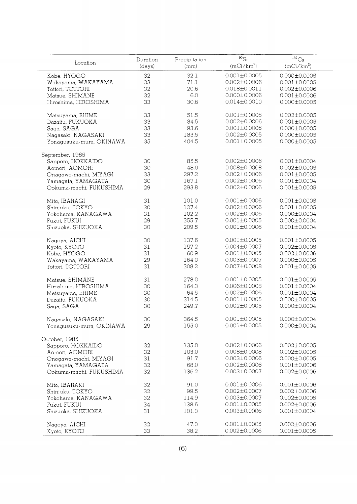| Location                 | Duration<br>(days) | Precipitation<br>(mm) | $^{90}\mathrm{Sr}$<br>$(mCi/km^2)$ | $^{137}\mathrm{Cs}$<br>$(mCi/km^2)$ |
|--------------------------|--------------------|-----------------------|------------------------------------|-------------------------------------|
| Kobe, HYOGO              | 32                 | 32.1                  | $0.001 \pm 0.0005$                 | $0.000 \pm 0.0005$                  |
| Wakayama, WAKAYAMA       | 33                 | 71.1                  | $0.002 \pm 0.0006$                 | $0.001 \pm 0.0005$                  |
| Tottori, TOTTORI         | 32                 | 20.6                  | $0.018 \pm 0.0011$                 | $0.002 \pm 0.0006$                  |
| Matsue, SHIMANE          | 32                 | 6.0                   | $0.000 \pm 0.0006$                 | $0.001 \pm 0.0006$                  |
|                          | 33                 | 30.6                  | $0.014 \pm 0.0010$                 | $0.000 \pm 0.0005$                  |
| Hiroshima, HIROSHIMA     |                    |                       |                                    |                                     |
| Matsuyama, EHIME         | 33                 | 51.5                  | $0.001 \pm 0.0005$                 | $0.002 \pm 0.0005$                  |
| Dazaifu, FUKUOKA         | 33                 | 84.5                  | $0.002 \pm 0.0006$                 | $0.001 \pm 0.0005$                  |
| Saga, SAGA               | 33                 | 93.6                  | $0.001 \pm 0.0005$                 | $0.000 \pm 0.0005$                  |
| Nagasaki, NAGASAKI       | 33                 | 183.5                 | $0.002 \pm 0.0005$                 | $0.000 \pm 0.0005$                  |
| Yonagusuku-mura, OKINAWA | 35                 | 404.5                 | $0.001 \pm 0.0005$                 | $0.000 \pm 0.0005$                  |
|                          |                    |                       |                                    |                                     |
| September, 1985          |                    |                       |                                    |                                     |
| Sapporo, HOKKAIDO        | 30                 | 85.5                  | $0.002 \pm 0.0006$                 | $0.001 \pm 0.0004$                  |
| Aomori, AOMORI           | 30                 | 48.0                  | 0.008±0.0008                       | $0.002 \pm 0.0005$                  |
| Onagawa-machi, MIYAGI    | 33                 | 297.2                 | $0.002 \pm 0.0006$                 | $0.001 \pm 0.0005$                  |
| Yamagata, YAMAGATA       | 30                 | 167.1                 | $0.002 \pm 0.0006$                 | $0.001 \pm 0.0004$                  |
| Ookuma-machi, FUKUSHIMA  | 29                 | 293.8                 | $0.002 \pm 0.0006$                 | $0.001 \pm 0.0005$                  |
|                          |                    |                       |                                    |                                     |
| Mito, IBARAGI            | 31                 | 101.0                 | $0.001 \pm 0.0006$                 | $0.001 \pm 0.0005$                  |
| Shinjuku, TOKYO          | 30                 | 127.4                 | $0.002 \pm 0.0006$                 | $0.001 \pm 0.0005$                  |
| Yokohama, KANAGAWA       | 31                 | 102.2                 | $0.002 \pm 0.0006$                 | $0.000 \pm 0.0004$                  |
| Fukui, FUKUI             | 29                 | 355.7                 | $0.001 \pm 0.0005$                 | $0.000 \pm 0.0004$                  |
| Shizuoka, SHIZUOKA       | 30                 | 209.5                 | $0.001 \pm 0.0006$                 | $0.001 \pm 0.0004$                  |
|                          |                    |                       |                                    |                                     |
| Nagoya, AICHI            | 30                 | 137.6                 | $0.001 \pm 0.0005$                 | $0.001 \pm 0.0005$                  |
| Kyoto, KYOTO             | 31                 | 157.2                 | $0.004 \pm 0.0007$                 | $0.002 \pm 0.0005$                  |
| Kobe, HYOGO              | 31                 | 60.9                  | $0.001 \pm 0.0005$                 | $0.002 \pm 0.0006$                  |
| Wakayama, WAKAYAMA       | 29                 | 164.0                 | $0.003 \pm 0.0007$                 | $0.000 \pm 0.0005$                  |
| Tottori, TOTTORI         | 31                 | 308.2                 | $0.007 \pm 0.0008$                 | $0.001 \pm 0.0005$                  |
|                          |                    |                       |                                    |                                     |
| Matsue, SHIMANE          | 31                 | 278.0                 | $0.001 \pm 0.0005$                 | $0.001 \pm 0.0005$                  |
| Hiroshima, HIROSHIMA     | 30                 | 164.3                 | $0.006 \pm 0.0008$                 | $0.001 \pm 0.0004$                  |
| Matsuyama, EHIME         | 30                 | 64.5                  | $0.002 \pm 0.0006$                 | $0.001 \pm 0.0004$                  |
| Dazaifu, FUKUOKA         | 30                 | 314.5                 | $0.001 \pm 0.0005$                 | $0.000 \pm 0.0005$                  |
| Saga, SAGA               | 30                 | 249.7                 | $0.002 \pm 0.0005$                 | $0.000 \pm 0.0004$                  |
|                          |                    |                       |                                    |                                     |
| Nagasaki, NAGASAKI       | 30                 | 364.5                 | $0.001 \pm 0.0005$                 | $0.000 \pm 0.0004$                  |
| Yonagusuku-mura, OKINAWA | 29                 | 155.0                 | $0.001 \pm 0.0005$                 | $0.000 \pm 0.0004$                  |
|                          |                    |                       |                                    |                                     |
| October, 1985            |                    |                       |                                    |                                     |
| Sapporo, HOKKAIDO        | 32                 | 135.0                 | $0.002 \pm 0.0006$                 | $0.002 \pm 0.0005$                  |
| Aomori, AOMORI           | 32                 | 105.0                 | $0.008 \pm 0.0008$                 | $0.002 \pm 0.0005$                  |
| Onogawa-machi, MIYAGI    | 31                 | 91.7                  | $0.003 \pm 0.0006$                 | $0.000 \pm 0.0005$                  |
| Yamagata, YAMAGATA       | 32                 | 68.0                  | $0.002 \pm 0.0006$                 | $0.001 \pm 0.0006$                  |
| Ookuma-machi, FUKUSHIMA  | 32                 | 136.2                 | $0.003 \pm 0.0007$                 | $0.002 \pm 0.0006$                  |
| Mito, IBARAKI            | 32                 | 91.0                  | $0.001 \pm 0.0006$                 | $0.001 \pm 0.0006$                  |
|                          | 32                 | 99.5                  | $0.002 \pm 0.0007$                 | $0.002 \pm 0.0006$                  |
| Shinjuku, TOKYO          |                    |                       |                                    |                                     |
| Yokohama, KANAGAWA       | 32                 | 114.9                 | $0.003 \pm 0.0007$                 | $0.002 \pm 0.0005$                  |
| Fukui, FUKUI             | 34                 | 138.6                 | $0.001 \pm 0.0005$                 | $0.002 \pm 0.0006$                  |
| Shizuoka, SHIZUOKA       | 31                 | 101.0                 | $0.003 \pm 0.0006$                 | $0.001 \pm 0.0004$                  |
| Nagoya, AICHI            | 32                 | 47.0                  | $0.001 \pm 0.0005$                 | $0.002 \pm 0.0006$                  |
| Kyoto, KYOTO             | 33                 | 38.2                  | $0.002 \pm 0.0006$                 | $0.001 \pm 0.0005$                  |
|                          |                    |                       |                                    |                                     |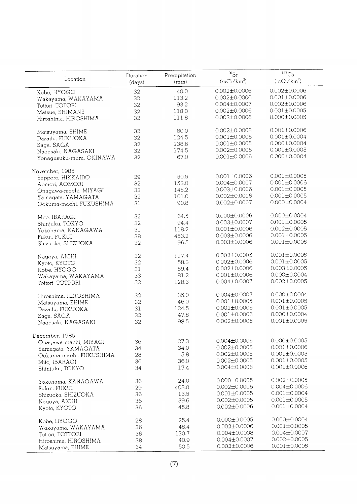| Location                 | Duration | Precipitation | $^{90}Sr$          | 137Cs              |
|--------------------------|----------|---------------|--------------------|--------------------|
|                          | (days)   | (mm)          | $(mCi/km^2)$       | $(mCi/km^2)$       |
| Kobe, HYOGO              | 32       | 40.0          | $0.002 \pm 0.0006$ | $0.002 \pm 0.0006$ |
|                          | 32       | 113.2         | $0.002 \pm 0.0006$ | $0.001 \pm 0.0006$ |
| Wakayama, WAKAYAMA       | 32       | 93.2          | $0.004 \pm 0.0007$ | $0.002 \pm 0.0006$ |
| Tottori, TOTORI          |          |               | $0.002 \pm 0.0006$ | $0.001 \pm 0.0005$ |
| Matsue, SHIMANE          | 32       | 118.0         |                    | $0.000 \pm 0.0005$ |
| Hiroshima, HIROSHIMA     | 32       | 111.8         | $0.003 \pm 0.0006$ |                    |
|                          |          |               | $0.002 \pm 0.0008$ | $0.001 \pm 0.0006$ |
| Matsuyama, EHIME         | 32       | 80.0          |                    |                    |
| Dazaifu, FUKUOKA         | 32       | 124.5         | $0.001 \pm 0.0006$ | $0.001 \pm 0.0004$ |
| Saga, SAGA               | 32       | 138.6         | $0.001 \pm 0.0005$ | $0.000 \pm 0.0004$ |
| Nagasaki, NAGASAKI       | 32       | 174.5         | $0.002 \pm 0.0006$ | $0.001 \pm 0.0005$ |
| Yonagusuku-mura, OKINAWA | 32       | 67.0          | $0.001 \pm 0.0006$ | $0.000 \pm 0.0004$ |
|                          |          |               |                    |                    |
| November, 1985           |          | 50.5          | $0.001 \pm 0.0006$ | $0.001 \pm 0.0005$ |
| Sapporo, HIKKAIDO        | 29       |               | $0.004 \pm 0.0007$ | $0.001 \pm 0.0006$ |
| Aomori, AOMORI           | 32       | 153.0         |                    | $0.001 \pm 0.0005$ |
| Onagawa-machi, MIYAGI    | 33       | 145.2         | $0.003 \pm 0.0006$ |                    |
| Yamagata, YAMAGATA       | 32       | 101.0         | $0.002 \pm 0.0006$ | $0.001 \pm 0.0005$ |
| Ookuma-machi, FUKUSHIMA  | 31       | 90.8          | $0.002 \pm 0.0007$ | $0.000 \pm 0.0004$ |
|                          | 32       | 64.5          | $0.000 \pm 0.0006$ | $0.000 \pm 0.0004$ |
| Mito, IBARAGI            |          | 94.4          | $0.003 \pm 0.0007$ | $0.001 \pm 0.0005$ |
| Shinjuku, TOKYO          | 32       |               | $0.001 \pm 0.0006$ | $0.002 \pm 0.0005$ |
| Yokohama, KANAGAWA       | 31       | 118.2         |                    | $0.001 \pm 0.0005$ |
| Fukui, FUKUI             | 38       | 453.2         | $0.003 \pm 0.0006$ |                    |
| Shizuoka, SHIZUOKA       | 32       | 96.5          | $0.003 \pm 0.0006$ | $0.001 \pm 0.0005$ |
|                          | 32       | 117.4         | $0.002 \pm 0.0005$ | $0.001 \pm 0.0005$ |
| Nagoya, AICHI            | 32       | 58.3          | $0.002 \pm 0.0006$ | $0.001 \pm 0.0005$ |
| Kyoto, KYOTO             |          | 59.4          | $0.002 \pm 0.0006$ | $0.003 \pm 0.0005$ |
| Kobe, HYOGO              | 31       |               |                    | $0.000 \pm 0.0004$ |
| Wakayama, WAKAYAMA       | 33       | 81.2          | $0.001 \pm 0.0006$ |                    |
| Tottori, TOTTORI         | 32       | 128.3         | $0.004 \pm 0.0007$ | $0.002 \pm 0.0005$ |
| Hiroshima, HIROSHIMA     | 32       | 35.0          | $0.004 \pm 0.0007$ | $0.000 \pm 0.0004$ |
| Matsuyama, EHIME         | 32       | 46.0          | $0.001 \pm 0.0005$ | $0.001 \pm 0.0005$ |
|                          | 31       | 124.5         | $0.002 \pm 0.0006$ | $0.001 \pm 0.0005$ |
| Dazaifu, FUKUOKA         | 32       | 47.8          | $0.001 \pm 0.0006$ | $0.000 \pm 0.0004$ |
| Saga, SAGA               |          | 98.5          | $0.002 \pm 0.0006$ | $0.001 \pm 0.0005$ |
| Nagasaki, NAGASAKI       | 32       |               |                    |                    |
| December, 1985           |          |               |                    |                    |
| Onagawa-machi, MIYAGI    | 36       | 27.3          | $0.004 \pm 0.0006$ | $0.000 \pm 0.0005$ |
| Yamagata, YAMAGATA       | 34       | 34.0          | $0.002 \pm 0.0005$ | $0.001 \pm 0.0006$ |
|                          | 28       | 5.8           | $0.002 \pm 0.0005$ | $0.001 + 0.0005$   |
| Ookuma-machi, FUKUSHIMA  | 36       | 36.0          | $0.002 \pm 0.0005$ | $0.001 \pm 0.0005$ |
| Mito, IBARAGI            |          |               | $0.004 \pm 0.0008$ | $0.001 \pm 0.0006$ |
| Shinjuku, TOKYO          | 34       | 17.4          |                    |                    |
| Yokohama, KANAGAWA       | 36       | 24.0          | $0.000 \pm 0.0005$ | $0.002 \pm 0.0005$ |
| Fukui, FUKUI             | 29       | 403.0         | $0.002 \pm 0.0006$ | $0.004 \pm 0.0006$ |
| Shizuoka, SHIZUOKA       | 36       | 13.5          | $0.001 \pm 0.0005$ | $0.001 \pm 0.0004$ |
| Nagoya, AICHI            | 36       | 39.6          | $0.002 \pm 0.0005$ | $0.001 \pm 0.0005$ |
| Kyoto, KYOTO             | 36       | 45.8          | $0.002 \pm 0.0006$ | $0.001 \pm 0.0004$ |
|                          |          |               |                    |                    |
| Kobe, HYOGO              | 28       | 25.4          | $0.000 \pm 0.0005$ | $0.000 \pm 0.0004$ |
| Wakayama, WAKAYAMA       | 36       | 48.4          | $0.002 \pm 0.0006$ | $0.001 \pm 0.0005$ |
| Tottori, TOTTORI         | 36       | 130.7         | $0.004 \pm 0.0008$ | $0.004 \pm 0.0007$ |
| Hiroshima, HIROSHIMA     | 38       | 40.9          | $0.004 \pm 0.0007$ | $0.002 \pm 0.0005$ |
| Matsuyama, EHIME         | 34       | 50.5          | $0.002 \pm 0.0006$ | $0.001 \pm 0.0005$ |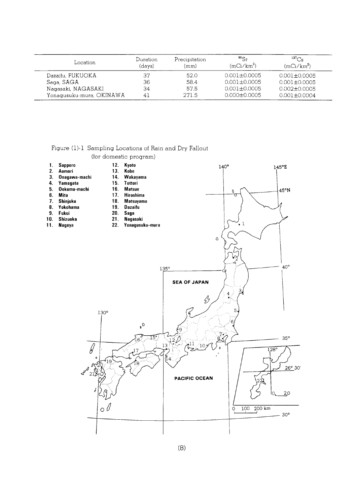| Location                 | Duration<br>(days) | Precipitation<br>(mm) | $^{90}Sr$<br>$(mCi/km^2)$ | $^{137}Cs$<br>$(mCi/km^2)$ |
|--------------------------|--------------------|-----------------------|---------------------------|----------------------------|
| Dazaifu, FUKUOKA         | 37                 | 52.0                  | $0.001 \pm 0.0005$        | $0.001 + 0.0005$           |
| Saga, SAGA               | 36                 | 58.4                  | $0.001 \pm 0.0005$        | $0.001 + 0.0005$           |
| Nagasaki, NAGASAKI       | 34                 | 57.5                  | $0.001 + 0.0005$          | $0.002 \pm 0.0005$         |
| Yonaqusuku-mura, OKINAWA | 41                 | 271.5                 | $0.000 \pm 0.0005$        | $0.001 \pm 0.0004$         |

|                                                                          |                                                                                                                                      | (for domestic program)                                                                                                                                                              |                                                         |                                                                                                                                                 |                                                                                                                                                                                 |  |
|--------------------------------------------------------------------------|--------------------------------------------------------------------------------------------------------------------------------------|-------------------------------------------------------------------------------------------------------------------------------------------------------------------------------------|---------------------------------------------------------|-------------------------------------------------------------------------------------------------------------------------------------------------|---------------------------------------------------------------------------------------------------------------------------------------------------------------------------------|--|
| 1.<br>2.<br>3.<br>4.<br>5.<br>6.<br>7.<br>$\bf{8}$ .<br>9.<br>10.<br>11. | Sapporo<br>Aomori<br>Onagawa-machi<br>Yamagata<br>Ookuma-machi<br><b>Mito</b><br>Shinjuku<br>Yokohama<br>Fukui<br>Shizuoka<br>Nagoya | 12.<br>Kyoto<br>13.<br>Kobe<br>14.<br>15.<br><b>Tottori</b><br>16.<br><b>Matsue</b><br>17.<br>Hiroshima<br>18. Matsuyama<br>19.<br>Dazaifu<br>20.<br>Saga<br>21.<br>Nagasaki<br>22. | Wakayama<br>Yonagusuku-mura                             | $140^\circ$<br>$\hbox{\tt Q}$                                                                                                                   | 145°E<br>45°N<br>O<br>Π<br>$\cdot$ 1                                                                                                                                            |  |
|                                                                          | $\mathcal{G}% _{M_{1},M_{2}}^{(h,\sigma),(h,\sigma)}(-\varepsilon)$<br>$\boldsymbol{\mathcal{A}}^{\mathcal{A}}$<br>21                | 130°<br>0 (<br>$\circ \mathbb{V}$                                                                                                                                                   | $135^\circ$<br>$\cdot^{\circ}$<br>T :<br>13<br>17<br>B. | <b>SEA OF JAPAN</b><br>ß.<br>$\widetilde{\epsilon}$<br>$\frac{2}{\epsilon}$<br>$\sum_{i=1}^{n}$<br>$\langle 10 \rangle$<br><b>PACIFIC OCEAN</b> | $40^{\circ}$<br>$\frac{4}{\bullet}$<br>5.<br>6<br>$35^\circ$<br>$\overline{128}$ °<br>$26^{\circ}$ 30'<br>20<br>10<br>$200 \text{ km}$<br>100<br>$\overline{O}$<br>$30^{\circ}$ |  |
|                                                                          |                                                                                                                                      |                                                                                                                                                                                     |                                                         |                                                                                                                                                 |                                                                                                                                                                                 |  |

Figure (1)-1 Sampling Locations of Rain and Dry Fallout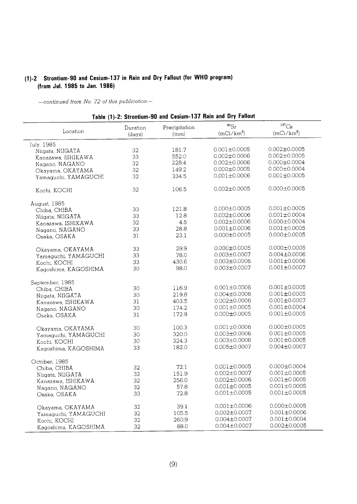## (1)-2 Strontium-90 and Cesium-137 in Rain and Dry Fallout (for WHO program) (from Jul. 1985 to Jan. 1986)

-continued from No. 72 of this publication-

 $\overline{a}$ 

|                      |          |               | 18016 (1)-2: Strongum-50 and Gestam-157 Hand and Dry Fanout |                    |
|----------------------|----------|---------------|-------------------------------------------------------------|--------------------|
|                      | Duration | Precipitation | $^{90}Sr$                                                   | $^{137}Cs$         |
| Location             | (days)   | (mm)          | $(mCi/km^2)$                                                | $(mCi/km^2)$       |
| July, 1985           |          |               |                                                             |                    |
| Niigata, NIIGATA     | 32       | 181.7         | $0.001 \pm 0.0005$                                          | $0.002 \pm 0.0005$ |
| Kanazawa, ISHIKAWA   | 33       | 552.0         | $0.002 \pm 0.0006$                                          | $0.002 \pm 0.0005$ |
| Nagano, NAGANO       | 32       | 228.4         | $0.002 \pm 0.0006$                                          | $0.000 \pm 0.0004$ |
| Okayama, OKAYAMA     | 32       | 149.2         | $0.000 \pm 0.0005$                                          | $0.000 \pm 0.0004$ |
|                      | 32       | 334.5         | $0.001 \pm 0.0006$                                          | $0.001 \pm 0.0005$ |
| Yamaguchi, YAMAGUCHI |          |               |                                                             |                    |
| Kochi, KOCHI         | 32       | 106.5         | $0.002 \pm 0.0005$                                          | $0.000 \pm 0.0005$ |
| August, 1985         |          |               |                                                             |                    |
| Chiba, CHIBA         | 33       | 121.8         | $0.000 \pm 0.0005$                                          | $0.001 \pm 0.0005$ |
| Niigata, NIIGATA     | 33       | 12.8          | $0.002 \pm 0.0006$                                          | $0.001 \pm 0.0004$ |
| Kanazawa, ISHIKAWA   | 32       | 4.5           | $0.002 \pm 0.0006$                                          | $0.000 \pm 0.0004$ |
| Nagano, NAGANO       | 33       | 28.8          | $0.001 \pm 0.0006$                                          | $0.001 \pm 0.0005$ |
|                      | 31       | 23.1          | $0.000 \pm 0.0005$                                          | $0.000 \pm 0.0005$ |
| Osaka, OSAKA         |          |               |                                                             |                    |
| Okayama, OKAYAMA     | 33       | 29.9          | $0.000 \pm 0.0005$                                          | $0.000 \pm 0.0005$ |
| Yamaguchi, YAMAGUCHI | 33       | 78.0          | $0.003 \pm 0.0007$                                          | $0.004 \pm 0.0006$ |
| Kochi, KOCHI         | 33       | 430.6         | $0.003 \pm 0.0006$                                          | $0.001 \pm 0.0006$ |
|                      |          | 98.0          | $0.003 \pm 0.0007$                                          | $0.001 \pm 0.0007$ |
| Kagoshima, KAGOSHIMA | 30       |               |                                                             |                    |
| September, 1985      |          |               |                                                             |                    |
| Chiba, CHIBA         | 30       | 116.9         | $0.001 \pm 0.0006$                                          | $0.001 \pm 0.0005$ |
| Niigata, NIIGATA     | 30       | 219.8         | $0.004 \pm 0.0006$                                          | $0.001 \pm 0.0005$ |
| Kanazawa, ISHIKAWA   | 31       | 403.5         | $0.002 \pm 0.0006$                                          | $0.001 \pm 0.0007$ |
| Nagano, NAGANO       | 30       | 174.2         | $0.001 \pm 0.0005$                                          | $0.001 \pm 0.0004$ |
|                      | 31       | 172.9         | $0.000 \pm 0.0005$                                          | $0.001 \pm 0.0005$ |
| Osaka, OSAKA         |          |               |                                                             |                    |
| Okayama, OKAYAMA     | 30       | 100.3         | $0.001 \pm 0.0006$                                          | $0.000 \pm 0.0005$ |
| Yamaguchi, YAMAGUCHI | 30       | 320.0         | $0.003 \pm 0.0006$                                          | $0.001 \pm 0.0005$ |
| Kochi, KOCHI         | 30       | 324.3         | $0.003 \pm 0.0006$                                          | $0.001 \pm 0.0005$ |
| Kagoshima, KAGOSHIMA | 33       | 182.0         | $0.005 \pm 0.0007$                                          | $0.004 \pm 0.0007$ |
| October, 1985        |          |               |                                                             |                    |
| Chiba, CHIBA         | 32       | 72.1          | $0.001 \pm 0.0005$                                          | $0.000 \pm 0.0004$ |
|                      | 32       | 151.9         | $0.002 \pm 0.0007$                                          | $0.001 + 0.0005$   |
| Niigata, NIIGATA     |          | 256.0         | $0.002 \pm 0.0006$                                          | $0.001 \pm 0.0005$ |
| Kanazawa, ISHIKAWA   | 32       |               | $0.001 \pm 0.0005$                                          | $0.001 \pm 0.0005$ |
| Nagano, NAGANO       | 32       | 57.8          |                                                             |                    |
| Osaka, OSAKA         | 33       | 72.8          | $0.001 \pm 0.0005$                                          | $0.001 \pm 0.0005$ |
| Okayama, OKAYAMA     | 32       | 39.1          | $0.001 \pm 0.0006$                                          | $0.000 \pm 0.0005$ |
| Yamaguchi, YAMAGUCHI | 32       | 105.5         | $0.002 \pm 0.0007$                                          | $0.001 \pm 0.0006$ |
| Kochi, KOCHI         | 32       | 260.9         | $0.004 \pm 0.0007$                                          | $0.001 \pm 0.0004$ |
| Kagoshima, KAGOSHIMA | 32       | 88.0          | $0.004 \pm 0.0007$                                          | $0.002 \pm 0.0005$ |
|                      |          |               |                                                             |                    |

Table (1)-2: Strontium-90 and Cesium-137 Rain and Dry Fallout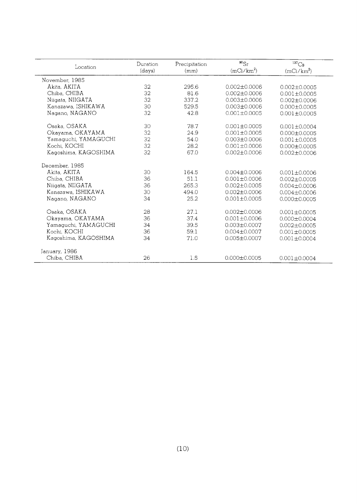| Location             | Duration<br>(days) | Precipitation<br>(mm) | $^{90}$ Sr<br>$(mCi/km^2)$ | $^{137}Cs$<br>$(mCi/km^2)$ |
|----------------------|--------------------|-----------------------|----------------------------|----------------------------|
| November, 1985       |                    |                       |                            |                            |
| Akita, AKITA         | 32                 | 295.6                 | $0.002 + 0.0006$           | $0.002 \pm 0.0005$         |
| Chiba, CHIBA         | 32                 | 81.6                  | $0.002 \pm 0.0006$         | $0.001 \pm 0.0005$         |
| Niigata, NIIGATA     | 32                 | 337.2                 | $0.003 \pm 0.0006$         | $0.002 \pm 0.0006$         |
| Kanazawa, ISHIKAWA   | 30                 | 529.5                 | $0.003 \pm 0.0006$         | $0.000 \pm 0.0005$         |
| Nagano, NAGANO       | 32                 | 42.8                  | $0.001 \pm 0.0005$         | $0.001 \pm 0.0005$         |
| Osaka, OSAKA         | 30                 | 78.7                  | $0.001 \pm 0.0005$         | $0.001 \pm 0.0004$         |
| Okayama, OKAYAMA     | 32                 | 24.9                  | $0.001 \pm 0.0005$         | $0.000 \pm 0.0005$         |
| Yamaguchi, YAMAGUCHI | 32                 | 54.0                  | $0.003 \pm 0.0006$         | $0.001 \pm 0.0005$         |
| Kochi, KOCHI         | 32                 | 28.2                  | $0.001 + 0.0006$           | $0.000 \pm 0.0005$         |
| Kagoshima, KAGOSHIMA | 32                 | 67.0                  | $0.002 \pm 0.0006$         | $0.002 \pm 0.0006$         |
| December, 1985       |                    |                       |                            |                            |
| Akita, AKITA         | 30                 | 164.5                 | $0.004 \pm 0.0006$         | $0.001 \pm 0.0006$         |
| Chiba, CHIBA         | 36                 | 51.1                  | $0.001 \pm 0.0006$         | $0.002 \pm 0.0005$         |
| Niigata, NIIGATA     | 36                 | 265.3                 | $0.002 + 0.0005$           | $0.004 \pm 0.0006$         |
| Kanazawa, ISHIKAWA   | 30                 | 494.0                 | $0.002 \pm 0.0006$         | $0.004 \pm 0.0006$         |
| Nagano, NAGANO       | 34                 | 25.2                  | $0.001 + 0.0005$           | $0.000 \pm 0.0005$         |
| Osaka, OSAKA         | 28                 | 27.1                  | $0.002 \pm 0.0006$         | $0.001 + 0.0005$           |
| Okayama, OKAYAMA     | 36                 | 37.4                  | $0.001 \pm 0.0006$         | $0.000 + 0.0004$           |
| Yamaguchi, YAMAGUCHI | 34                 | 39.5                  | $0.003 \pm 0.0007$         | $0.002 \pm 0.0005$         |
| Kochi, KOCHI         | 36                 | 59.1                  | $0.004 \pm 0.0007$         | $0.001 + 0.0005$           |
| Kagoshima, KAGOSHIMA | 34                 | 71.0                  | $0.005 \pm 0.0007$         | $0.001 \pm 0.0004$         |
| January, 1986        |                    |                       |                            |                            |
| Chiba, CHIBA         | 26                 | 1.5                   | $0.000 \pm 0.0005$         | $0.001 \pm 0.0004$         |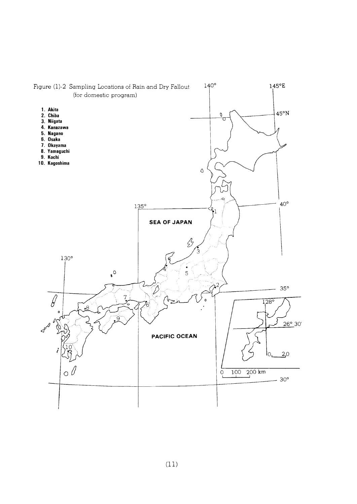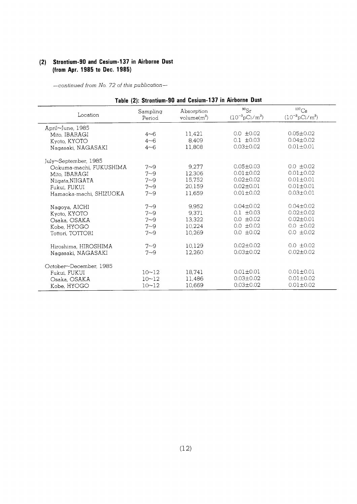## (2) Strontium-90 and Cesium-137 in Airborne Dust (from Apr. 1985 to Dec. 1985)

| Table (2): Strontium-90 and Cesium-137 in Airborne Dust |                    |                              |                                         |                                                   |
|---------------------------------------------------------|--------------------|------------------------------|-----------------------------------------|---------------------------------------------------|
| Location                                                | Sampling<br>Period | Absorption<br>volume $(m^3)$ | $^{90}Sr$<br>$(10^{-3} \text{pCi/m}^3)$ | $^{137}\mathrm{Cs}$<br>$(10^{-3} \text{pCi/m}^3)$ |
| April~June, 1985                                        |                    |                              |                                         |                                                   |
| Mito, IBARAGI                                           | $4 - 6$            | 11,421                       | $0.0 \pm 0.02$                          | $0.05 \pm 0.02$                                   |
| Kyoto, KYOTO                                            | $4 - 6$            | 8,409                        | $0.1 \pm 0.03$                          | $0.04 \pm 0.02$                                   |
| Nagasaki, NAGASAKI                                      | $4 - 6$            | 11,808                       | $0.03 \pm 0.02$                         | $0.01 \pm 0.01$                                   |
| July~September, 1985                                    |                    |                              |                                         |                                                   |
| Ookuma-machi, FUKUSHIMA                                 | $7 - 9$            | 9,277                        | $0.05 \pm 0.03$                         | $0.0 \pm 0.02$                                    |
| Mito, IBARAGI                                           | $7 - 9$            | 12,306                       | $0.01 \pm 0.02$                         | $0.01 \pm 0.02$                                   |
| Niigata.NIIGATA                                         | $7 - 9$            | 15,752                       | $0.02 \pm 0.02$                         | $0.01 \pm 0.01$                                   |
| Fukui, FUKUI                                            | $7 - 9$            | 20.159                       | $0.02 \pm 0.01$                         | $0.01 \pm 0.01$                                   |
| Hamaoka-machi, SHIZUOKA                                 | $7 - 9$            | 11.659                       | $0.01 \pm 0.02$                         | $0.03 \pm 0.01$                                   |
| Nagoya, AICHI                                           | $7 - 9$            | 9.952                        | $0.04 \pm 0.02$                         | $0.04 \pm 0.02$                                   |
| Kyoto, KYOTO                                            | $7 - 9$            | 9,371                        | $0.1 \pm 0.03$                          | $0.02 \pm 0.02$                                   |
| Osaka, OSAKA                                            | $7 - 9$            | 13.322                       | $0.0 \pm 0.02$                          | $0.02 \pm 0.01$                                   |
| Kobe, HYOGO                                             | $7 - 9$            | 10,224                       | $0.0 \pm 0.02$                          | $0.0 \pm 0.02$                                    |
| Tottori, TOTTORI                                        | $7 - 9$            | 10.269                       | $0.0 \pm 0.02$                          | $0.0 \pm 0.02$                                    |
| Hiroshima, HIROSHIMA                                    | $7 - 9$            | 10,129                       | $0.02 + 0.02$                           | $0.0 \pm 0.02$                                    |
| Nagasaki, NAGASAKI                                      | $7 - 9$            | 12,260                       | $0.03 + 0.02$                           | $0.02 \pm 0.02$                                   |
| October~December, 1985                                  |                    |                              |                                         |                                                   |
| Fukui, FUKUI                                            | $10 - 12$          | 18,741                       | $0.01 \pm 0.01$                         | $0.01 \pm 0.01$                                   |
| Osaka, OSAKA                                            | $10 - 12$          | 11,486                       | $0.03 \pm 0.02$                         | $0.01 \pm 0.02$                                   |
| Kobe, HYOGO                                             | $10 - 12$          | 10,669                       | $0.03 \pm 0.02$                         | $0.01 \pm 0.02$                                   |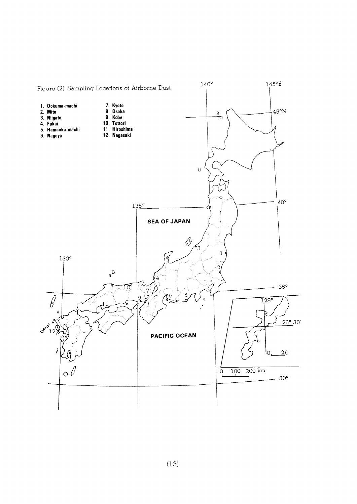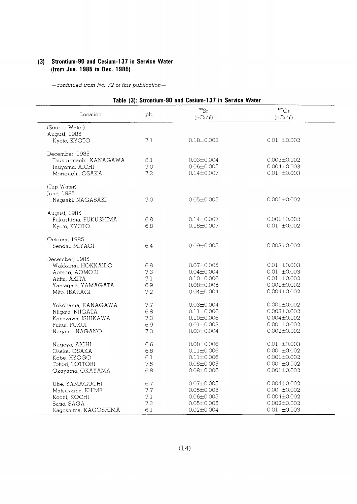## (3) Strontium-90 and Cesium-137 in Service Water (from Jun. 1985 to Dec. 1985)

|                        |         | Table (3): Strontium-90 and Cesium-137 in Service Water |                                     |
|------------------------|---------|---------------------------------------------------------|-------------------------------------|
| Location               | pH      | $^{90}Sr$<br>$(pCi/\ell)$                               | $^{137}\mathrm{Cs}$<br>$(pCi/\ell)$ |
| (Source Water)         |         |                                                         |                                     |
| August, 1985           |         |                                                         |                                     |
| Kyoto, KYOTO           | 7.1     | $0.18 + 0.008$                                          | $0.01 + 0.002$                      |
| December, 1985         |         |                                                         |                                     |
| Tsukui-machi, KANAGAWA | 8.1     | $0.03 \pm 0.004$                                        | $0.003 \pm 0.002$                   |
| Inuyama, AICHI         | 7.0     | $0.06 \pm 0.005$                                        | $0.004 \pm 0.003$                   |
| Moriguchi, OSAKA       | 7.2     | $0.14 \pm 0.007$                                        | $0.01 \pm 0.003$                    |
| (Tap Water)            |         |                                                         |                                     |
| June, 1985             |         |                                                         |                                     |
| Nagsaki, NAGASAKI      | 7.0     | $0.05 \pm 0.005$                                        | $0.001 \pm 0.002$                   |
| August, 1985           |         |                                                         |                                     |
| Fukushima, FUKUSHIMA   | 6.8     | $0.14 \pm 0.007$                                        | $0.001 \pm 0.002$                   |
| Kyoto, KYOTO           | 6.8     | $0.18 \pm 0.007$                                        | $0.01 \pm 0.002$                    |
| October, 1985          |         |                                                         |                                     |
| Sendai, MIYAGI         | 6.4     | $0.09 \pm 0.005$                                        | $0.003 \pm 0.002$                   |
| December, 1985         |         |                                                         |                                     |
| Wakkanai, HOKKAIDO     | 6.8     | $0.07 \pm 0.005$                                        | $0.01 \pm 0.003$                    |
| Aomori, AOMORI         | 7.3     | $0.04 \pm 0.004$                                        | $0.01 \pm 0.003$                    |
| Akita, AKITA           | 7.1     | $0.10 \pm 0.006$                                        | $0.01 \pm 0.002$                    |
| Yamagata, YAMAGATA     | 6.9     | $0.08 \pm 0.005$                                        | $0.001 \pm 0.002$                   |
| Mito, IBARAGI          | 7.2     | $0.04 \pm 0.004$                                        | $0.004 \pm 0.002$                   |
| Yokohama, KANAGAWA     | 7.7     | $0.03 \pm 0.004$                                        | $0.001 \pm 0.002$                   |
| Niigata, NIIGATA       | 6.8     | $0.11 \pm 0.006$                                        | $0.003 \pm 0.002$                   |
| Kanazawa, ISHIKAWA     | 7.3     | $0.10 \pm 0.006$                                        | $0.004 \pm 0.002$                   |
| Fukui, FUKUI           | 6.9     | $0.01 \pm 0.003$                                        | $0.00 \pm 0.002$                    |
| Nagano, NAGANO         | 7.3     | $0.03 \pm 0.004$                                        | $0.002 \pm 0.002$                   |
| Nagoya, AICHI          | 6.6     | $0.08 \pm 0.006$                                        | $0.01 \pm 0.003$                    |
| Osaka, OSAKA           | 6.8     | $0.11 \pm 0.006$                                        | $0.00 \pm 0.002$                    |
| Kobe, HYOGO            | 6.1     | $0.11 \pm 0.006$                                        | $0.001 \pm 0.002$                   |
| Tottori, TOTTORI       | 7.5     | $0.08 \pm 0.005$                                        | $0.00 \pm 0.002$                    |
| Okayama, OKAYAMA       | 6.8     | $0.08 \pm 0.006$                                        | $0.001 \pm 0.002$                   |
| Ube, YAMAGUCHI         | 6.7     | $0.07 \pm 0.005$                                        | $0.004 \pm 0.002$                   |
| Matsuyama, EHIME       | $7.7\,$ | $0.05 \pm 0.005$                                        | $0.00 \pm 0.002$                    |
| Kochi, KOCHI           | 7.1     | $0.06 \pm 0.005$                                        | $0.004 \pm 0.002$                   |
| Saga, SAGA             | 7.2     | $0.05 \pm 0.005$                                        | $0.002 \pm 0.002$                   |
|                        | 6.1     | $0.02 \pm 0.004$                                        | $0.01 \pm 0.003$                    |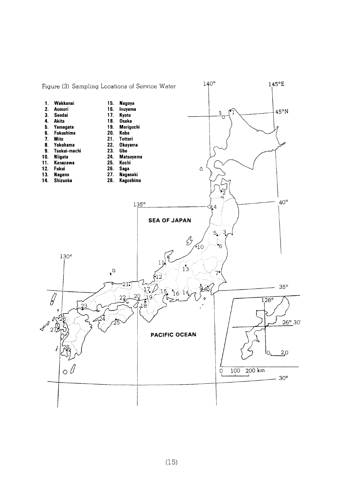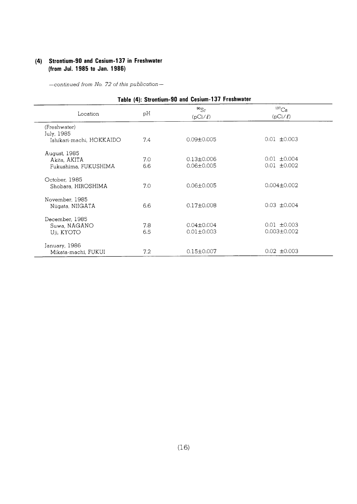## (4) Strontium-90 and Cesium-137 in Freshwater (from Jul. 1985 to Jan. 1986)

| Table (4): Strontium-90 and Cesium-137 Freshwater |     |                           |                              |  |  |
|---------------------------------------------------|-----|---------------------------|------------------------------|--|--|
| Location                                          | pH  | $^{90}Sr$<br>$(pCi/\ell)$ | ${}^{137}Cs$<br>$(pCi/\ell)$ |  |  |
| (Freshwater)                                      |     |                           |                              |  |  |
| July, 1985                                        |     |                           |                              |  |  |
| Ishikari-machi, HOKKAIDO                          | 7.4 | $0.09 \pm 0.005$          | $0.01 \pm 0.003$             |  |  |
| August, 1985                                      |     |                           |                              |  |  |
| Akita, AKITA                                      | 7.0 | $0.13 \pm 0.006$          | $0.01 \pm 0.004$             |  |  |
| Fukushima, FUKUSHIMA                              | 6.6 | $0.06 \pm 0.005$          | $0.01 + 0.002$               |  |  |
| October, 1985                                     |     |                           |                              |  |  |
| Shobara, HIROSHIMA                                | 7.0 | $0.06 \pm 0.005$          | $0.004 \pm 0.002$            |  |  |
| November, 1985                                    |     |                           |                              |  |  |
| Niigata, NIIGATA                                  | 6.6 | $0.17 \pm 0.008$          | $0.03 \pm 0.004$             |  |  |
| December, 1985                                    |     |                           |                              |  |  |
| Suwa, NAGANO                                      | 7.8 | $0.04 \pm 0.004$          | $0.01 \pm 0.003$             |  |  |
| Uji, KYOTO                                        | 6.5 | $0.01 \pm 0.003$          | $0.003 \pm 0.002$            |  |  |
| January, 1986                                     |     |                           |                              |  |  |
| Mikata-machi, FUKUI                               | 7.2 | $0.15 \pm 0.007$          | $0.02 \pm 0.003$             |  |  |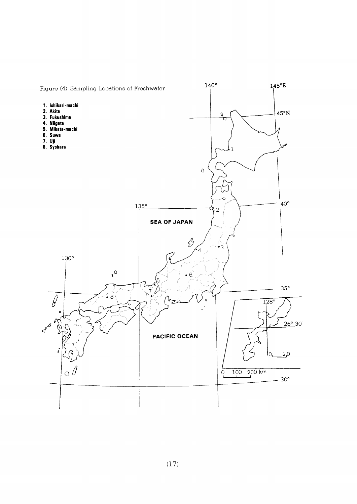

 $(17)$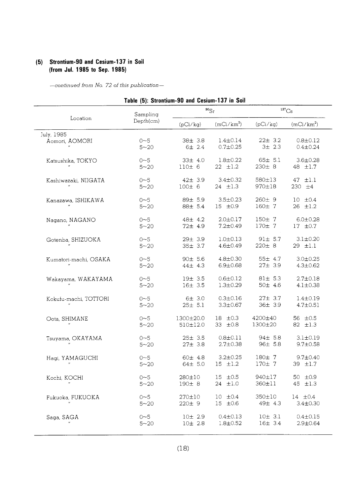## (5) Strontium-90 and Cesium-137 in Soil (from Jul. 1985 to Sep. 1985)

|                       | Table (5): Strontium-90 and Cesium-137 in Soil |                |                |                     |                |
|-----------------------|------------------------------------------------|----------------|----------------|---------------------|----------------|
|                       | Sampling                                       | $^{90}Sr$      |                | $^{137}\mathrm{Cs}$ |                |
| Location              | Depth(cm)                                      | (pCi/kg)       | $(mCi/km^2)$   | (pCi/kg)            | $(mCi/km^2)$   |
| July, 1985            | $0 - 5$                                        | 38± 3.8        | $1.4 \pm 0.14$ | $22 \pm 3.2$        | $0.8 \pm 0.12$ |
| Aomori, AOMORI        | $5 - 20$                                       | 6± 2.4         | $0.7 + 0.25$   | 3± 2.3              | $0.4 \pm 0.24$ |
| Katsushika, TOKYO     | $0 - 5$                                        | $33\pm 4.0$    | $1.8 \pm 0.22$ | $65 \pm 5.1$        | $3.6 \pm 0.28$ |
|                       | $5 - 20$                                       | 110±6          | $22$ $\pm 1.2$ | 230±8               | 48 ±1.7        |
| Kashiwazaki, NIIGATA  | $0 - 5$                                        | $42 \pm 3.9$   | $3.4 \pm 0.32$ | 580±13              | $47$ $\pm 1.1$ |
|                       | $5 - 20$                                       | 100±6          | $24$ $\pm 1.3$ | 970±18              | 230 $±4$       |
| Kanazawa, ISHIKAWA    | $0 - 5$                                        | 89± 5.9        | $3.5 \pm 0.23$ | 260±9               | 10 f 0.4       |
|                       | $5 - 20$                                       | 88± 5.4        | 15 ±0.9        | 160± 7              | $26$ $\pm 1.2$ |
| Nagano, NAGANO        | $0 - 5$                                        | 48± 4.2        | $2.0 \pm 0.17$ | $150 \pm 7$         | $6.0 + 0.28$   |
|                       | $5 - 20$                                       | 72± 4.9        | $7.2 \pm 0.49$ | 170±7               | 17 ±0.7        |
| Gotenba, SHIZUOKA     | $0 - 5$                                        | 29± 3.9        | $1.0 \pm 0.13$ | $91 \pm 5.7$        | $3.1 \pm 0.20$ |
| $\boldsymbol{H}$      | $5 - 20$                                       | 35± 3.7        | 4.6±0.49       | $220 \pm 8$         | 29 ±1.1        |
| Kumatori-machi, OSAKA | $0 - 5$                                        | 90± 5.6        | $4.8 \pm 0.30$ | $55 \pm 4.7$        | $3.0 \pm 0.25$ |
|                       | $5 - 20$                                       | $44\pm 4.3$    | $6.9 \pm 0.68$ | $27 \pm 3.9$        | $4.3 \pm 0.62$ |
| Wakayama, WAKAYAMA    | $0 - 5$                                        | 19± 3.5        | $0.6 \pm 0.12$ | 81± 5.3             | $2.7 \pm 0.18$ |
|                       | $5 - 20$                                       | 16± 3.5        | $1.3 \pm 0.29$ | 50± 4.6             | $4.1 \pm 0.38$ |
| Kokufu-machi, TOTTORI | $0 - 5$                                        | 6±3.0          | $0.3 \pm 0.16$ | $27 \pm 3.7$        | $1.4 \pm 0.19$ |
|                       | $5 - 20$                                       | $25 \pm 5.1$   | $3.3 \pm 0.67$ | 36± 3.9             | $4.7 \pm 0.51$ |
| Oota, SHIMANE         | $0 - 5$                                        | 1300±20.0      | $18 \pm 0.3$   | 4200±40             | 56 $\pm 0.5$   |
|                       | $5 - 20$                                       | $510 \pm 12.0$ | 33 $\pm 0.8$   | 1300±20             | 82 ±1.3        |
| Tsuyama, OKAYAMA      | $0 - 5$                                        | 25± 3.5        | $0.8 \pm 0.11$ | 94± 5.8             | $3.1 \pm 0.19$ |
|                       | $5 - 20$                                       | 27± 3.8        | $2.7 \pm 0.38$ | 96± 5.8             | $9.7 \pm 0.58$ |
| Hagi, YAMAGUCHI       | $0 - 5$                                        | 60± 4.8        | $3.2 \pm 0.25$ | 180±7               | $9.7 \pm 0.40$ |
| $^{\prime\prime}$     | $5 - 20$                                       | 64± 5.0        | $15$ $\pm 1.2$ | 170± 7              | 39 ±1.7        |
| Kochi, KOCHI          | $0 - 5$                                        | 280±10         | $15 \pm 0.5$   | 940±17              | 50 ±0.9        |
|                       | $5 - 20$                                       | 190±8          | $24 \pm 1.0$   | 360±11              | 45 ±1.3        |
| Fukuoka, FUKUOKA      | $0 - 5$                                        | $270 \pm 10$   | $10 \pm 0.4$   | 350±10              | 14 $\pm 0.4$   |
|                       | $5 - 20$                                       | 220±9          | $15 \pm 0.6$   | 49± 4.3             | $3.4 \pm 0.30$ |
| Saga, SAGA            | $0 - 5$                                        | 10±2.9         | $0.4 \pm 0.13$ | 10± 3.1             | $0.4 \pm 0.15$ |
|                       | $5 - 20$                                       | 10±2.8         | $1.8 \pm 0.52$ | 16± 3.4             | $2.9 \pm 0.64$ |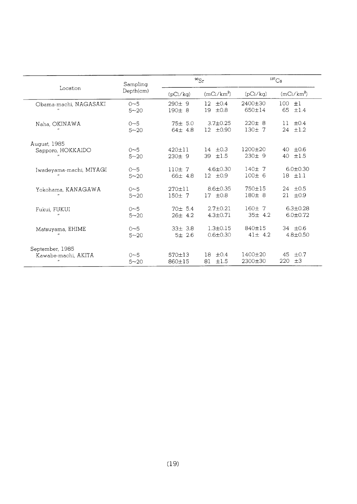| Location                                                      | Sampling<br>Depth(cm) | $^{90}Sr$               |                                | $^{137}\mathrm{Cs}$       |                                  |
|---------------------------------------------------------------|-----------------------|-------------------------|--------------------------------|---------------------------|----------------------------------|
|                                                               |                       | (pCi/kg)                | $(mCi/km^2)$                   | (pCi/kg)                  | $(mCi/km^2)$                     |
| Obama-machi, NAGASAKI<br>$\boldsymbol{\theta}$                | $0 - 5$<br>$5 - 20$   | 290±9<br>190±8          | $12 + 0.4$<br>±0.8<br>19       | 2400±30<br>650±14         | 100<br>$+1$<br>65<br>±1.4        |
| Naha, OKINAWA<br>$^{\prime\prime}$                            | $0 - 5$<br>$5 - 20$   | 75± 5.0<br>$64 \pm 4.8$ | $3.7 \pm 0.25$<br>$12 + 0.90$  | $220 \pm 8$<br>130± 7     | $+0.4$<br>11<br>$24 + 1.2$       |
| August, 1985<br>Sapporo, HOKKAIDO<br>$\overline{\phantom{a}}$ | $0 - 5$<br>$5 - 20$   | $420 \pm 11$<br>230±9   | 14 $\pm 0.3$<br>39 ±1.5        | $1200 + 20$<br>230±9      | $\pm 0.6$<br>40<br>40<br>±1.5    |
| Iwadeyama-machi, MIYAGI<br>$\boldsymbol{\theta}$              | $0 - 5$<br>$5 - 20$   | 110±7<br>66± 4.8        | $4.6 \pm 0.30$<br>$12 \pm 0.9$ | 140±7<br>100±6            | $6.0 + 0.30$<br>$18$ $\pm 1.1$   |
| Yokohama, KANAGAWA                                            | $0 - 5$<br>$5 - 20$   | $270 + 11$<br>150±7     | $8.6 \pm 0.35$<br>$17 + 0.8$   | 750±15<br>180±8           | $24 + 0.5$<br>21<br>±0.9         |
| Fukui, FUKUI<br>$\mathbf{r}$                                  | $0 - 5$<br>$5 - 20$   | 70±5.4<br>$26 \pm 4.2$  | $2.7 + 0.21$<br>$4.3 + 0.71$   | $160 + 7$<br>$35 \pm 4.2$ | $6.3 \pm 0.28$<br>$6.0 \pm 0.72$ |
| Matsuyama, EHIME                                              | $0 - 5$<br>$5 - 20$   | $33 \pm 3.8$<br>5±2.6   | $1.3 + 0.15$<br>$0.6 \pm 0.30$ | 840±15<br>$41 \pm 4.2$    | 34 $\pm 0.6$<br>$4.8 \pm 0.50$   |
| September, 1985<br>Kawabe-machi, AKITA<br>$\cdot$             | $0 - 5$<br>$5 - 20$   | 570±13<br>860±15        | $\pm 0.4$<br>18<br>81<br>±1.5  | $1400 \pm 20$<br>2300±30  | 45<br>$\pm 0.7$<br>±3<br>220     |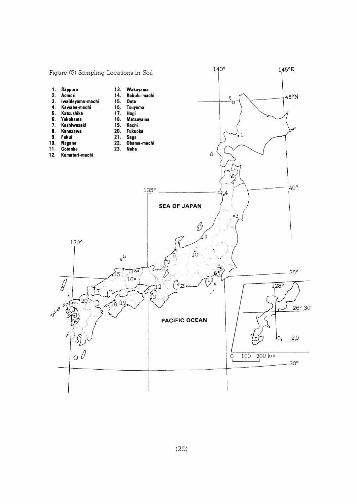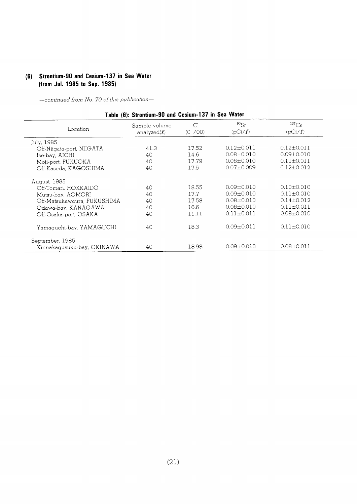## (6) Strontium-90 and Cesium-137 in Sea Water (from Jul. 1985 to Sep. 1985)

-continued from No. 70 of this publication-

| Location                    | Sample volume<br>analyzed $(\ell)$ | Cl<br>(0 / 00) | $^{90}Sr$<br>$(pCi/\ell)$ | $^{137}Cs$<br>$(pCi/\ell)$ |
|-----------------------------|------------------------------------|----------------|---------------------------|----------------------------|
| July, 1985                  |                                    |                |                           |                            |
| Off-Niigata-port, NIIGATA   | 41.3                               | 17.52          | $0.12 + 0.011$            | $0.12 + 0.011$             |
| Ise-bay, AICHI              | 40                                 | 14.6           | $0.08 \pm 0.010$          | $0.09 + 0.010$             |
| Moji-port, FUKUOKA          | 40                                 | 17.79          | $0.08 + 0.010$            | $0.11 + 0.011$             |
| Off-Kaseda, KAGOSHIMA       | 40                                 | 17.5           | $0.07 \pm 0.009$          | $0.12 \pm 0.012$           |
| August, 1985                |                                    |                |                           |                            |
| Off-Tomari, HOKKAIDO        | 40                                 | 18.55          | $0.09 + 0.010$            | $0.10 + 0.010$             |
| Mutsu-bay, AOMORI           | 40                                 | 17.7           | $0.09 \pm 0.010$          | $0.11 \pm 0.010$           |
| Off-Matsukawaura, FUKUSHIMA | 40                                 | 17.58          | $0.08 \pm 0.010$          | $0.14 \pm 0.012$           |
| Odawa-bay, KANAGAWA         | 40                                 | 16.6           | $0.08 \pm 0.010$          | $0.11 + 0.011$             |
| Off-Osaka-port, OSAKA       | 40                                 | 11.11          | $0.11 \pm 0.011$          | $0.08 \pm 0.010$           |
| Yamaguchi-bay, YAMAGUCHI    | 40                                 | 18.3           | $0.09 + 0.011$            | $0.11 + 0.010$             |
| September, 1985             |                                    |                |                           |                            |
| Kinnakagusuku-bay, OKINAWA  | 40                                 | 18.98          | $0.09 \pm 0.010$          | $0.08 \pm 0.011$           |

## $(21)$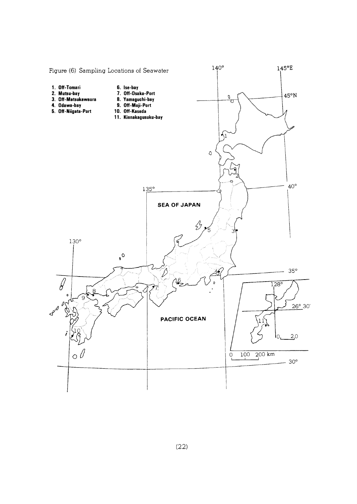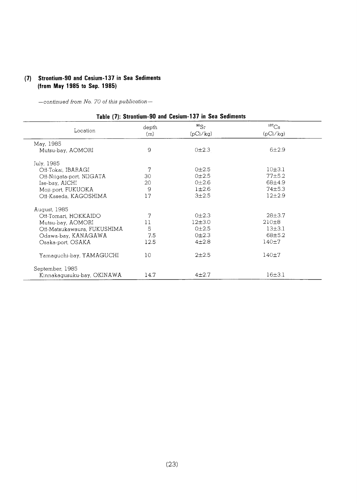## (7) Strontium-90 and Cesium-137 in Sea Sediments (from May 1985 to Sep. 1985)

-continued from No. 70 of this publication-

## Table (7): Strontium-90 and Cesium-137 in Sea Sediments

| Location                    | depth<br>(m) | $^{90}Sr$<br>(pCi/kg) | $^{137}\mathrm{Cs}$<br>(pCi/kg) |  |
|-----------------------------|--------------|-----------------------|---------------------------------|--|
| May, 1985                   |              |                       |                                 |  |
| Mutsu-bay, AOMORI           | 9            | 0±2.3                 | 6±2.9                           |  |
| July, 1985                  |              |                       |                                 |  |
| Off-Tokai, IBARAGI          | 7            | 0 <sub>±</sub> 2.5    | 10±3.1                          |  |
| Off-Niigata-port, NIIGATA   | 30           | 0±2.5                 | $77 + 5.2$                      |  |
| Ise-bay, AICHI              | 20           | 0 <sub>±2.6</sub>     | 68±4.9                          |  |
| Moji-port, FUKUOKA          | 9            | $1\pm 2.6$            | $74\pm5.3$                      |  |
| Off-Kaseda, KAGOSHIMA       | 17           | $3 + 2.5$             | $12+2.9$                        |  |
| August, 1985                |              |                       |                                 |  |
| Off-Tomari, HOKKAIDO        | 7            | 0±2.3                 | $28 + 3.7$                      |  |
| Mutsu-bay, AOMORI           | 11           | 12±3.0                | 210±8                           |  |
| Off-Matsukawaura, FUKUSHIMA | 5            | $0+2.5$               | $13 + 3.1$                      |  |
| Odawa-bay, KANAGAWA         | 7.5          | 0±2.3                 | 68±5.2                          |  |
| Osaka-port, OSAKA           | 12.5         | $4 + 2.8$             | $140 + 7$                       |  |
| Yamaguchi-bay, YAMAGUCHI    | 10           | $2 + 2.5$             | $140 + 7$                       |  |
| September, 1985             |              |                       |                                 |  |
| Kinnakagusuku-bay, OKINAWA  | 14.7         | $4 + 2.7$             | 16±3.1                          |  |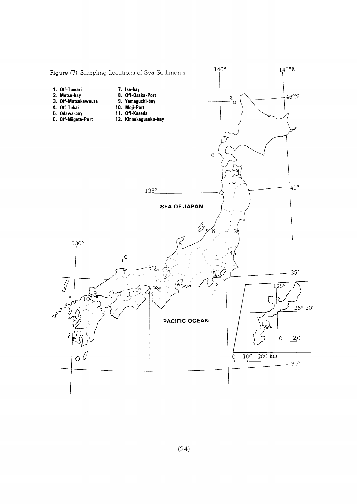

 $(24)$